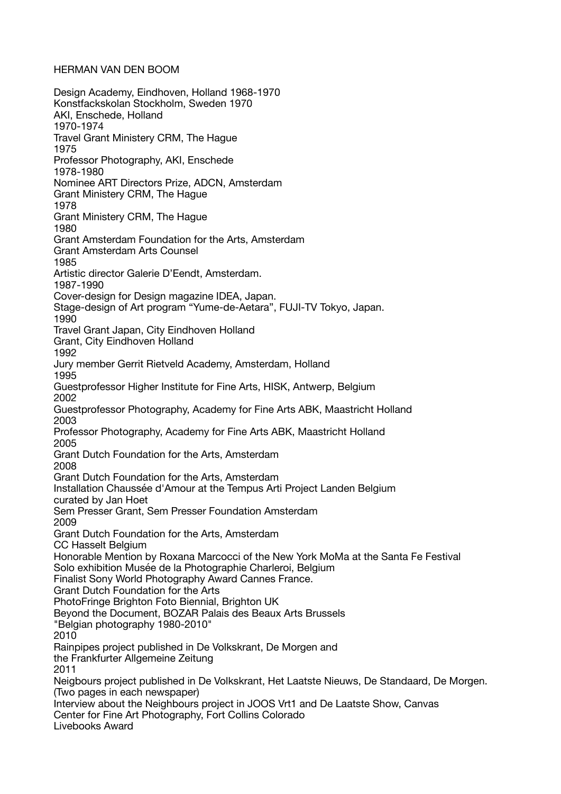HERMAN VAN DEN BOOM

Design Academy, Eindhoven, Holland 1968-1970 Konstfackskolan Stockholm, Sweden 1970 AKI, Enschede, Holland 1970-1974 Travel Grant Ministery CRM, The Hague 1975 Professor Photography, AKI, Enschede 1978-1980 Nominee ART Directors Prize, ADCN, Amsterdam Grant Ministery CRM, The Hague 1978 Grant Ministery CRM, The Hague 1980 Grant Amsterdam Foundation for the Arts, Amsterdam Grant Amsterdam Arts Counsel 1985 Artistic director Galerie D'Eendt, Amsterdam. 1987-1990 Cover-design for Design magazine IDEA, Japan. Stage-design of Art program "Yume-de-Aetara", FUJI-TV Tokyo, Japan. 1990 Travel Grant Japan, City Eindhoven Holland Grant, City Eindhoven Holland 1992 Jury member Gerrit Rietveld Academy, Amsterdam, Holland 1995 Guestprofessor Higher Institute for Fine Arts, HISK, Antwerp, Belgium 2002 Guestprofessor Photography, Academy for Fine Arts ABK, Maastricht Holland 2003 Professor Photography, Academy for Fine Arts ABK, Maastricht Holland 2005 Grant Dutch Foundation for the Arts, Amsterdam 2008 Grant Dutch Foundation for the Arts, Amsterdam Installation Chaussée d'Amour at the Tempus Arti Project Landen Belgium curated by Jan Hoet Sem Presser Grant, Sem Presser Foundation Amsterdam 2009 Grant Dutch Foundation for the Arts, Amsterdam CC Hasselt Belgium Honorable Mention by Roxana Marcocci of the New York MoMa at the Santa Fe Festival Solo exhibition Musée de la Photographie Charleroi, Belgium Finalist Sony World Photography Award Cannes France. Grant Dutch Foundation for the Arts PhotoFringe Brighton Foto Biennial, Brighton UK Beyond the Document, BOZAR Palais des Beaux Arts Brussels "Belgian photography 1980-2010" 2010 Rainpipes project published in De Volkskrant, De Morgen and the Frankfurter Allgemeine Zeitung 2011 Neigbours project published in De Volkskrant, Het Laatste Nieuws, De Standaard, De Morgen. (Two pages in each newspaper) Interview about the Neighbours project in JOOS Vrt1 and De Laatste Show, Canvas Center for Fine Art Photography, Fort Collins Colorado Livebooks Award